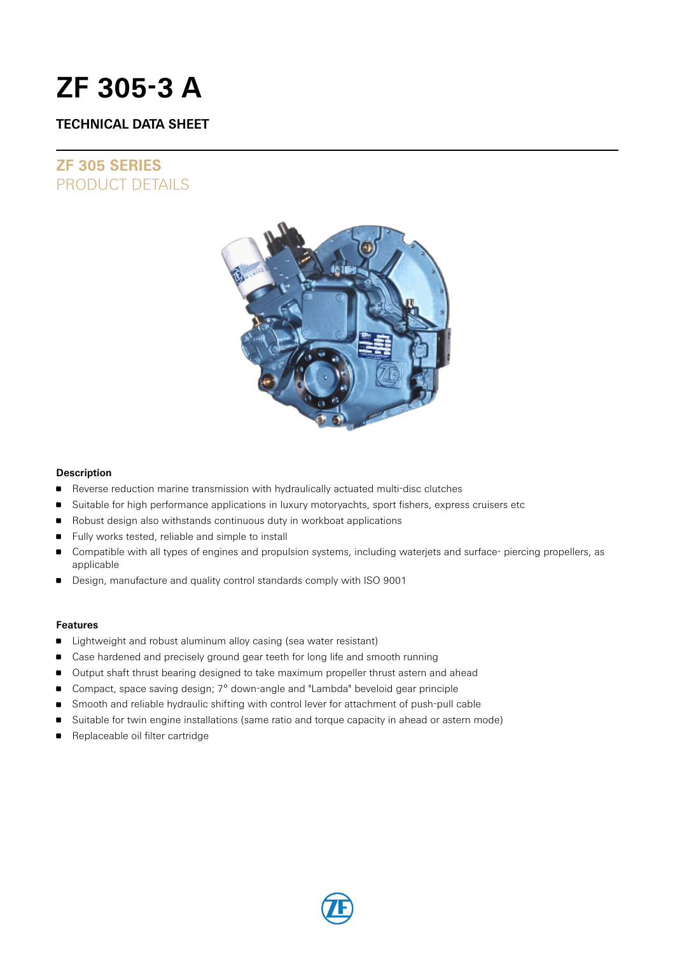# **ZF 305-3 A**

### **TECHNICAL DATA SHEET**

## **ZF 305 SERIES** PRODUCT DETAILS



### **Description**

- Reverse reduction marine transmission with hydraulically actuated multi-disc clutches
- **Suitable for high performance applications in luxury motoryachts, sport fishers, express cruisers etc**
- Robust design also withstands continuous duty in workboat applications
- Fully works tested, reliable and simple to install
- Compatible with all types of engines and propulsion systems, including waterjets and surface- piercing propellers, as applicable
- Design, manufacture and quality control standards comply with ISO 9001

### **Features**

- **EXTENDI** Lightweight and robust aluminum alloy casing (sea water resistant)
- **Case hardened and precisely ground gear teeth for long life and smooth running**
- Output shaft thrust bearing designed to take maximum propeller thrust astern and ahead
- Compact, space saving design; 7° down-angle and "Lambda" beveloid gear principle
- **Smooth and reliable hydraulic shifting with control lever for attachment of push-pull cable**
- Suitable for twin engine installations (same ratio and torque capacity in ahead or astern mode)
- Replaceable oil filter cartridge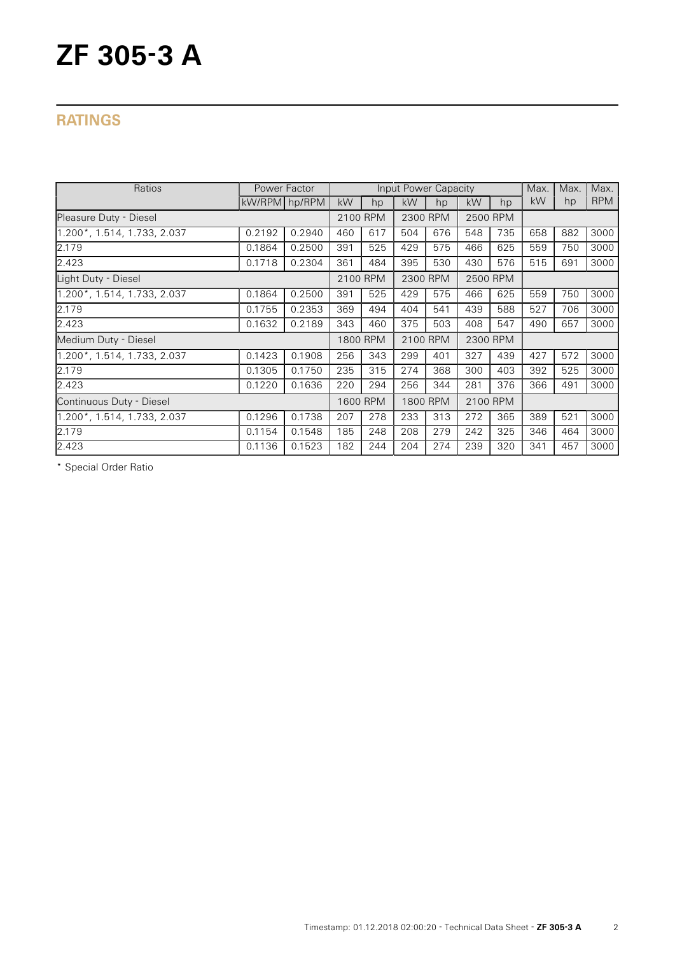# **ZF 305-3 A**

## **RATINGS**

| Ratios                      |               | Power Factor |          |          |          | Input Power Capacity |          |          | Max. | Max. | Max.       |
|-----------------------------|---------------|--------------|----------|----------|----------|----------------------|----------|----------|------|------|------------|
|                             | kW/RPM hp/RPM |              | kW       | hp       | kW       | hp                   | kW       | hp       | kW   | hp   | <b>RPM</b> |
| Pleasure Duty - Diesel      |               |              |          | 2100 RPM |          | 2300 RPM             |          | 2500 RPM |      |      |            |
| 1.200*, 1.514, 1.733, 2.037 | 0.2192        | 0.2940       | 460      | 617      | 504      | 676                  | 548      | 735      | 658  | 882  | 3000       |
| 2.179                       | 0.1864        | 0.2500       | 391      | 525      | 429      | 575                  | 466      | 625      | 559  | 750  | 3000       |
| 2.423                       | 0.1718        | 0.2304       | 361      | 484      | 395      | 530                  | 430      | 576      | 515  | 691  | 3000       |
| Light Duty - Diesel         |               |              | 2100 RPM |          | 2300 RPM |                      | 2500 RPM |          |      |      |            |
| 1.200*, 1.514, 1.733, 2.037 | 0.1864        | 0.2500       | 391      | 525      | 429      | 575                  | 466      | 625      | 559  | 750  | 3000       |
| 2.179                       | 0.1755        | 0.2353       | 369      | 494      | 404      | 541                  | 439      | 588      | 527  | 706  | 3000       |
| 2.423                       | 0.1632        | 0.2189       | 343      | 460      | 375      | 503                  | 408      | 547      | 490  | 657  | 3000       |
| Medium Duty - Diesel        |               |              | 1800 RPM |          | 2100 RPM |                      | 2300 RPM |          |      |      |            |
| 1.200*, 1.514, 1.733, 2.037 | 0.1423        | 0.1908       | 256      | 343      | 299      | 401                  | 327      | 439      | 427  | 572  | 3000       |
| 2.179                       | 0.1305        | 0.1750       | 235      | 315      | 274      | 368                  | 300      | 403      | 392  | 525  | 3000       |
| 2.423                       | 0.1220        | 0.1636       | 220      | 294      | 256      | 344                  | 281      | 376      | 366  | 491  | 3000       |
| Continuous Duty - Diesel    |               |              | 1600 RPM |          | 1800 RPM |                      | 2100 RPM |          |      |      |            |
| 1.200*, 1.514, 1.733, 2.037 | 0.1296        | 0.1738       | 207      | 278      | 233      | 313                  | 272      | 365      | 389  | 521  | 3000       |
| 2.179                       | 0.1154        | 0.1548       | 185      | 248      | 208      | 279                  | 242      | 325      | 346  | 464  | 3000       |
| 2.423                       | 0.1136        | 0.1523       | 182      | 244      | 204      | 274                  | 239      | 320      | 341  | 457  | 3000       |

\* Special Order Ratio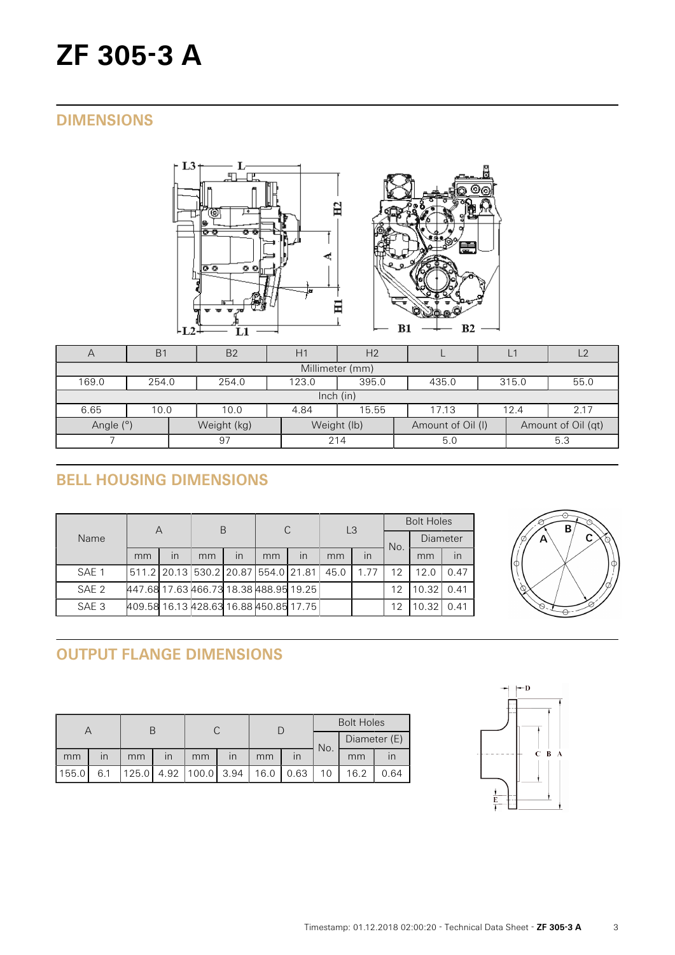# **ZF 305-3 A**

## **DIMENSIONS**





| $\forall$                                                                          | <b>B1</b> | B <sub>2</sub>                                    | H1  | H <sub>2</sub> |  | Ľ   |  | $\sqrt{2}$ |  |  |  |
|------------------------------------------------------------------------------------|-----------|---------------------------------------------------|-----|----------------|--|-----|--|------------|--|--|--|
| Millimeter (mm)                                                                    |           |                                                   |     |                |  |     |  |            |  |  |  |
| 169.0                                                                              | 254.0     | 395.0<br>55.0<br>254.0<br>123.0<br>315.0<br>435.0 |     |                |  |     |  |            |  |  |  |
| lnch (in)                                                                          |           |                                                   |     |                |  |     |  |            |  |  |  |
| 6.65                                                                               | 10.0      | 15.55<br>2.17<br>17.13<br>10.0<br>4.84<br>12.4    |     |                |  |     |  |            |  |  |  |
| Angle (°)<br>Weight (lb)<br>Weight (kg)<br>Amount of Oil (qt)<br>Amount of Oil (I) |           |                                                   |     |                |  |     |  |            |  |  |  |
| 97                                                                                 |           |                                                   | 214 | 5.0            |  | 5.3 |  |            |  |  |  |

# **BELL HOUSING DIMENSIONS**

| Name  | Α                                             |              | B  |                         | C  |                         | L3   |                         | <b>Bolt Holes</b> |          |      |
|-------|-----------------------------------------------|--------------|----|-------------------------|----|-------------------------|------|-------------------------|-------------------|----------|------|
|       |                                               |              |    |                         |    |                         |      |                         | No.               | Diameter |      |
|       | mm                                            | $\mathsf{I}$ | mm | $\overline{\mathsf{I}}$ | mm | $\overline{\mathsf{I}}$ | mm   | $\overline{\mathsf{I}}$ |                   | mm       | in   |
| SAE 1 | 511.2   20.13   530.2   20.87   554.0   21.81 |              |    |                         |    |                         | 45.0 | 1.77                    | 12                | 12.0     | 0.47 |
| SAE 2 | 447.68 17.63 466.73 18.38 488.95 19.25        |              |    |                         |    |                         |      |                         | 12                | 10.32    | 0.41 |
| SAE 3 | 409.58 16.13 428.63 16.88 450.85 17.75        |              |    |                         |    |                         |      |                         | 12                | 10.32    | 0.41 |



# **OUTPUT FLANGE DIMENSIONS**

|       |                         |       |      |       |                         | <b>Bolt Holes</b> |              |     |              |      |
|-------|-------------------------|-------|------|-------|-------------------------|-------------------|--------------|-----|--------------|------|
|       |                         |       |      |       |                         |                   |              | No. | Diameter (E) |      |
| mm    | $\overline{\mathsf{I}}$ | mm    | ın   | mm    | $\overline{\mathsf{I}}$ | mm                | $\mathsf{I}$ |     | mm           |      |
| 155.0 | 6.1                     | 125.0 | 4.92 | 100.0 | 3.94                    | 16.0              | 0.63         |     | 16.2         | 0.64 |